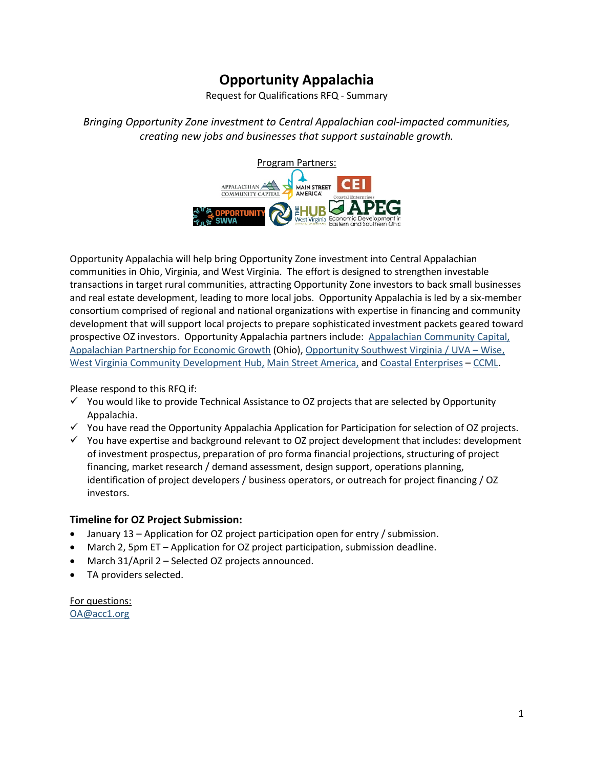# **Opportunity Appalachia**

Request for Qualifications RFQ - Summary

*Bringing Opportunity Zone investment to Central Appalachian coal-impacted communities, creating new jobs and businesses that support sustainable growth.*



Opportunity Appalachia will help bring Opportunity Zone investment into Central Appalachian communities in Ohio, Virginia, and West Virginia. The effort is designed to strengthen investable transactions in target rural communities, attracting Opportunity Zone investors to back small businesses and real estate development, leading to more local jobs. Opportunity Appalachia is led by a six-member consortium comprised of regional and national organizations with expertise in financing and community development that will support local projects to prepare sophisticated investment packets geared toward prospective OZ investors. Opportunity Appalachia partners include: [Appalachian Community Capital,](http://appalachiancommunitycapitalcdfi.org/) [Appalachian Partnership for Economic Growth](https://apeg.com/) (Ohio), Opportunity Southwest Virginia / UVA - Wise, [West Virginia Community Development Hub,](http://wvhub.org/) [Main Street America,](https://www.mainstreet.org/mainstreetamerica/theprograms) and [Coastal Enterprises](https://www.ceimaine.org/) – [CCML.](https://www.ceicapitalmgmt.com/)

Please respond to this RFQ if:

- $\checkmark$  You would like to provide Technical Assistance to OZ projects that are selected by Opportunity Appalachia.
- $\checkmark$  You have read the Opportunity Appalachia Application for Participation for selection of OZ projects.
- $\checkmark$  You have expertise and background relevant to OZ project development that includes: development of investment prospectus, preparation of pro forma financial projections, structuring of project financing, market research / demand assessment, design support, operations planning, identification of project developers / business operators, or outreach for project financing / OZ investors.

### **Timeline for OZ Project Submission:**

- January 13 Application for OZ project participation open for entry / submission.
- March 2, 5pm ET Application for OZ project participation, submission deadline.
- March 31/April 2 Selected OZ projects announced.
- TA providers selected.

For questions: [OA@acc1.org](mailto:OA@acc1.org)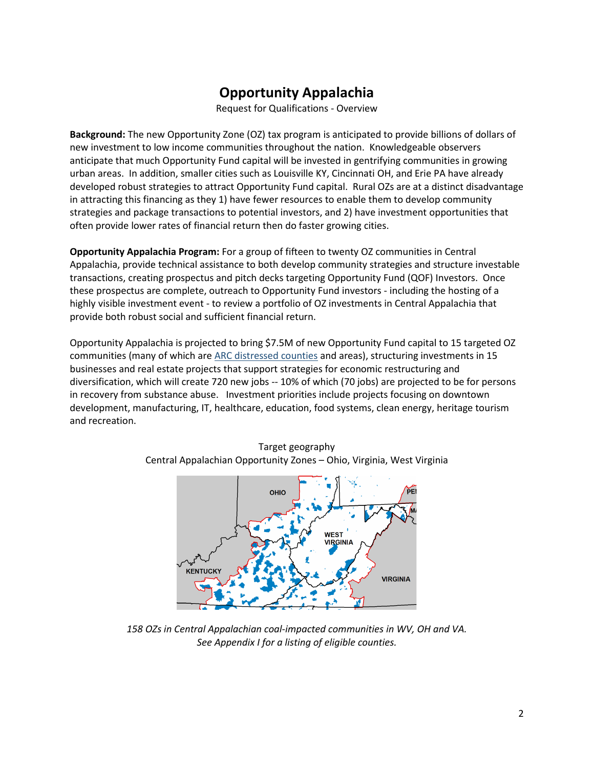# **Opportunity Appalachia**

Request for Qualifications - Overview

**Background:** The new Opportunity Zone (OZ) tax program is anticipated to provide billions of dollars of new investment to low income communities throughout the nation. Knowledgeable observers anticipate that much Opportunity Fund capital will be invested in gentrifying communities in growing urban areas. In addition, smaller cities such as Louisville KY, Cincinnati OH, and Erie PA have already developed robust strategies to attract Opportunity Fund capital. Rural OZs are at a distinct disadvantage in attracting this financing as they 1) have fewer resources to enable them to develop community strategies and package transactions to potential investors, and 2) have investment opportunities that often provide lower rates of financial return then do faster growing cities.

**Opportunity Appalachia Program:** For a group of fifteen to twenty OZ communities in Central Appalachia, provide technical assistance to both develop community strategies and structure investable transactions, creating prospectus and pitch decks targeting Opportunity Fund (QOF) Investors. Once these prospectus are complete, outreach to Opportunity Fund investors - including the hosting of a highly visible investment event - to review a portfolio of OZ investments in Central Appalachia that provide both robust social and sufficient financial return.

Opportunity Appalachia is projected to bring \$7.5M of new Opportunity Fund capital to 15 targeted OZ communities (many of which are [ARC distressed counties](https://www.arc.gov/appalachian_region/CountyEconomicStatusandDistressedAreasinAppalachia.asp) and areas), structuring investments in 15 businesses and real estate projects that support strategies for economic restructuring and diversification, which will create 720 new jobs -- 10% of which (70 jobs) are projected to be for persons in recovery from substance abuse. Investment priorities include projects focusing on downtown development, manufacturing, IT, healthcare, education, food systems, clean energy, heritage tourism and recreation.



Target geography Central Appalachian Opportunity Zones – Ohio, Virginia, West Virginia

*158 OZs in Central Appalachian coal-impacted communities in WV, OH and VA. See Appendix I for a listing of eligible counties.*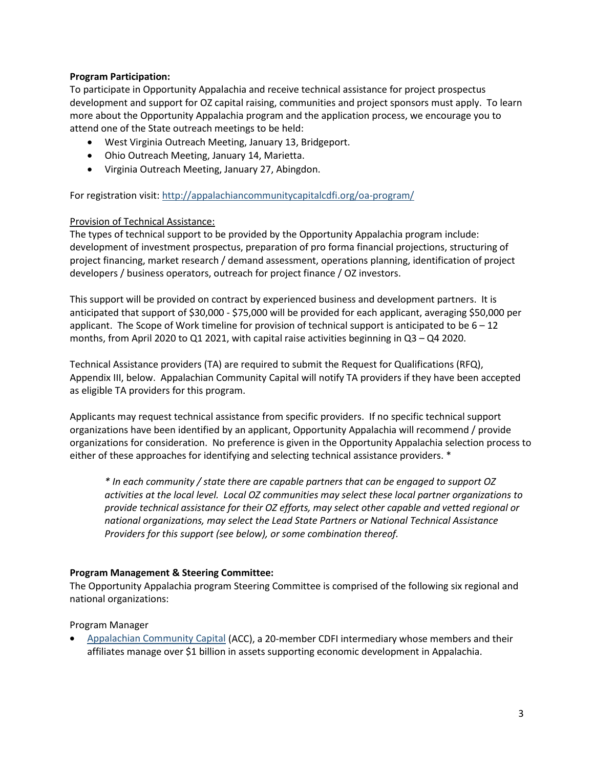#### **Program Participation:**

To participate in Opportunity Appalachia and receive technical assistance for project prospectus development and support for OZ capital raising, communities and project sponsors must apply. To learn more about the Opportunity Appalachia program and the application process, we encourage you to attend one of the State outreach meetings to be held:

- West Virginia Outreach Meeting, January 13, Bridgeport.
- Ohio Outreach Meeting, January 14, Marietta.
- Virginia Outreach Meeting, January 27, Abingdon.

For registration visit:<http://appalachiancommunitycapitalcdfi.org/oa-program/>

#### Provision of Technical Assistance:

The types of technical support to be provided by the Opportunity Appalachia program include: development of investment prospectus, preparation of pro forma financial projections, structuring of project financing, market research / demand assessment, operations planning, identification of project developers / business operators, outreach for project finance / OZ investors.

This support will be provided on contract by experienced business and development partners. It is anticipated that support of \$30,000 - \$75,000 will be provided for each applicant, averaging \$50,000 per applicant. The Scope of Work timeline for provision of technical support is anticipated to be  $6 - 12$ months, from April 2020 to Q1 2021, with capital raise activities beginning in Q3 – Q4 2020.

Technical Assistance providers (TA) are required to submit the Request for Qualifications (RFQ), Appendix III, below. Appalachian Community Capital will notify TA providers if they have been accepted as eligible TA providers for this program.

Applicants may request technical assistance from specific providers. If no specific technical support organizations have been identified by an applicant, Opportunity Appalachia will recommend / provide organizations for consideration. No preference is given in the Opportunity Appalachia selection process to either of these approaches for identifying and selecting technical assistance providers. \*

*\* In each community / state there are capable partners that can be engaged to support OZ activities at the local level. Local OZ communities may select these local partner organizations to provide technical assistance for their OZ efforts, may select other capable and vetted regional or national organizations, may select the Lead State Partners or National Technical Assistance Providers for this support (see below), or some combination thereof.*

#### **Program Management & Steering Committee:**

The Opportunity Appalachia program Steering Committee is comprised of the following six regional and national organizations:

#### Program Manager

• [Appalachian Community Capital](http://appalachiancommunitycapitalcdfi.org/) (ACC), a 20-member CDFI intermediary whose members and their affiliates manage over \$1 billion in assets supporting economic development in Appalachia.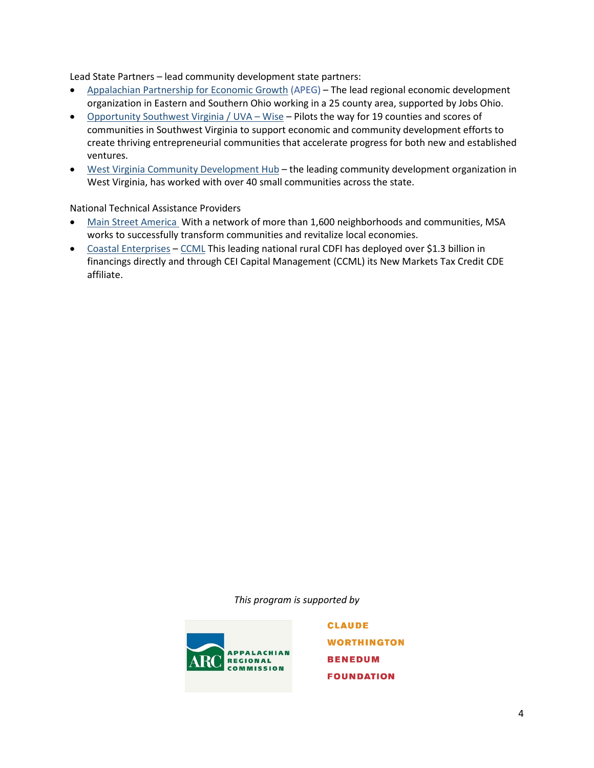Lead State Partners – lead community development state partners:

- [Appalachian Partnership for Economic Growth](https://apeg.com/) (APEG) The lead regional economic development organization in Eastern and Southern Ohio working in a 25 county area, supported by Jobs Ohio.
- [Opportunity Southwest Virginia / UVA –](http://www.opportunityswva.org/) Wise Pilots the way for 19 counties and scores of communities in Southwest Virginia to support economic and community development efforts to create thriving entrepreneurial communities that accelerate progress for both new and established ventures.
- [West Virginia Community Development Hub](http://wvhub.org/) the leading community development organization in West Virginia, has worked with over 40 small communities across the state.

National Technical Assistance Providers

- [Main Street America](https://www.mainstreet.org/mainstreetamerica/theprograms) With a network of more than 1,600 neighborhoods and communities, MSA works to successfully transform communities and revitalize local economies.
- [Coastal Enterprises](https://www.ceimaine.org/) [CCML](https://www.ceicapitalmgmt.com/) This leading national rural CDFI has deployed over \$1.3 billion in financings directly and through CEI Capital Management (CCML) its New Markets Tax Credit CDE affiliate.

*This program is supported by* 



**CLAUDE WORTHINGTON BENEDUM FOUNDATION**